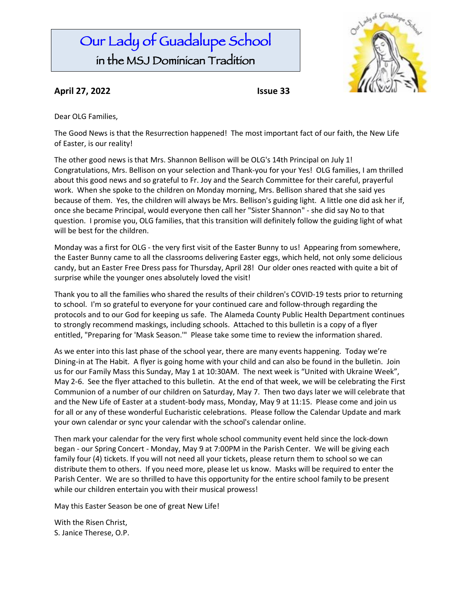# Our Lady of Guadalupe School in the MSJ Dominican Tradition



### **April 27, 2022 Issue 33**

Dear OLG Families,

The Good News is that the Resurrection happened! The most important fact of our faith, the New Life of Easter, is our reality!

The other good news is that Mrs. Shannon Bellison will be OLG's 14th Principal on July 1! Congratulations, Mrs. Bellison on your selection and Thank-you for your Yes! OLG families, I am thrilled about this good news and so grateful to Fr. Joy and the Search Committee for their careful, prayerful work. When she spoke to the children on Monday morning, Mrs. Bellison shared that she said yes because of them. Yes, the children will always be Mrs. Bellison's guiding light. A little one did ask her if, once she became Principal, would everyone then call her "Sister Shannon" - she did say No to that question. I promise you, OLG families, that this transition will definitely follow the guiding light of what will be best for the children.

Monday was a first for OLG - the very first visit of the Easter Bunny to us! Appearing from somewhere, the Easter Bunny came to all the classrooms delivering Easter eggs, which held, not only some delicious candy, but an Easter Free Dress pass for Thursday, April 28! Our older ones reacted with quite a bit of surprise while the younger ones absolutely loved the visit!

Thank you to all the families who shared the results of their children's COVID-19 tests prior to returning to school. I'm so grateful to everyone for your continued care and follow-through regarding the protocols and to our God for keeping us safe. The Alameda County Public Health Department continues to strongly recommend maskings, including schools. Attached to this bulletin is a copy of a flyer entitled, "Preparing for 'Mask Season.'" Please take some time to review the information shared.

As we enter into this last phase of the school year, there are many events happening. Today we're Dining-in at The Habit. A flyer is going home with your child and can also be found in the bulletin. Join us for our Family Mass this Sunday, May 1 at 10:30AM. The next week is "United with Ukraine Week", May 2-6. See the flyer attached to this bulletin. At the end of that week, we will be celebrating the First Communion of a number of our children on Saturday, May 7. Then two days later we will celebrate that and the New Life of Easter at a student-body mass, Monday, May 9 at 11:15. Please come and join us for all or any of these wonderful Eucharistic celebrations. Please follow the Calendar Update and mark your own calendar or sync your calendar with the school's calendar online.

Then mark your calendar for the very first whole school community event held since the lock-down began - our Spring Concert - Monday, May 9 at 7:00PM in the Parish Center. We will be giving each family four (4) tickets. If you will not need all your tickets, please return them to school so we can distribute them to others. If you need more, please let us know. Masks will be required to enter the Parish Center. We are so thrilled to have this opportunity for the entire school family to be present while our children entertain you with their musical prowess!

May this Easter Season be one of great New Life!

With the Risen Christ, S. Janice Therese, O.P.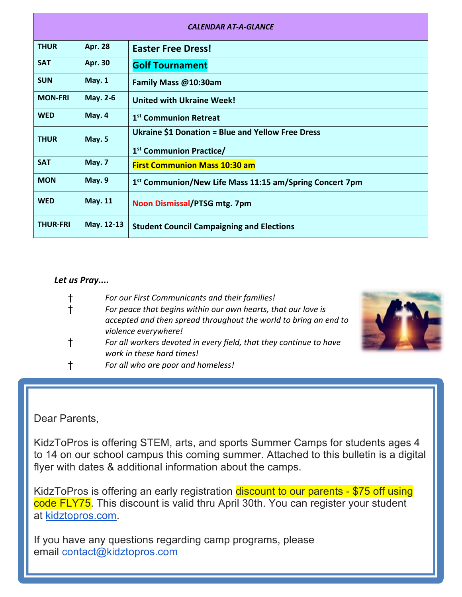| <b>CALENDAR AT-A-GLANCE</b> |                |                                                                     |  |
|-----------------------------|----------------|---------------------------------------------------------------------|--|
| <b>THUR</b>                 | <b>Apr. 28</b> | <b>Easter Free Dress!</b>                                           |  |
| <b>SAT</b>                  | <b>Apr. 30</b> | <b>Golf Tournament</b>                                              |  |
| <b>SUN</b>                  | <b>May. 1</b>  | Family Mass @10:30am                                                |  |
| <b>MON-FRI</b>              | May. 2-6       | <b>United with Ukraine Week!</b>                                    |  |
| <b>WED</b>                  | May. 4         | 1 <sup>st</sup> Communion Retreat                                   |  |
| <b>THUR</b>                 | May. 5         | <b>Ukraine \$1 Donation = Blue and Yellow Free Dress</b>            |  |
|                             |                | 1 <sup>st</sup> Communion Practice/                                 |  |
| <b>SAT</b>                  | May. 7         | <b>First Communion Mass 10:30 am</b>                                |  |
| <b>MON</b>                  | May. 9         | 1 <sup>st</sup> Communion/New Life Mass 11:15 am/Spring Concert 7pm |  |
| <b>WED</b>                  | <b>May. 11</b> | Noon Dismissal/PTSG mtg. 7pm                                        |  |
| <b>THUR-FRI</b>             | May. 12-13     | <b>Student Council Campaigning and Elections</b>                    |  |

### *Let us Pray....*

| $^\dagger$   | For our First Communicants and their families!                                                  |
|--------------|-------------------------------------------------------------------------------------------------|
| $\ddagger$   | For peace that begins within our own hearts, that our love is                                   |
|              | accepted and then spread throughout the world to bring an end to                                |
|              | violence everywhere!                                                                            |
| $\mathsf{t}$ | For all workers devoted in every field, that they continue to have<br>work in these hard times! |
|              | For all who are poor and homeless!                                                              |



### Dear Parents,

KidzToPros is offering STEM, arts, and sports Summer Camps for students ages 4 to 14 on our school campus this coming summer. Attached to this bulletin is a digital flyer with dates & additional information about the camps.

KidzToPros is offering an early registration discount to our parents - \$75 off using code FLY75. This discount is valid thru April 30th. You can register your student at kidztopros.com.

If you have any questions regarding camp programs, please email contact@kidztopros.com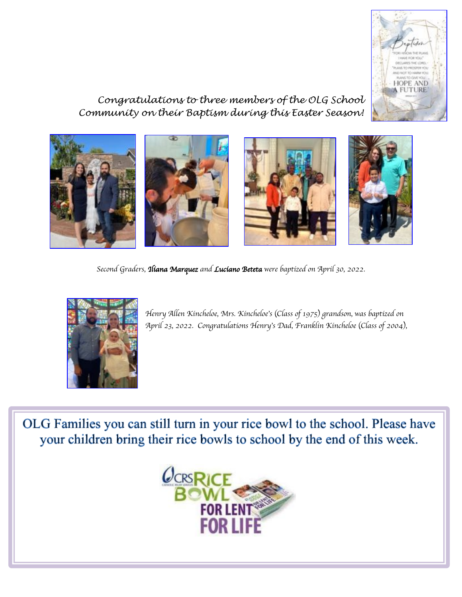

*Congratulations to three members of the OLG School Community on their Baptism during this Easter Season!*



*Second Graders, Iliana Marquez and Luciano Beteta were baptized on April 30, 2022.*



*Henry Allen Kincheloe, Mrs. Kincheloe*'*s* (*Class of 1975*) *grandson, was baptized on April 23, 2022. Congratulations Henry*'*s Dad, Franklin Kincheloe* (*Class of 2004*)*,*

OLG Families you can still turn in your rice bowl to the school. Please have your children bring their rice bowls to school by the end of this week.

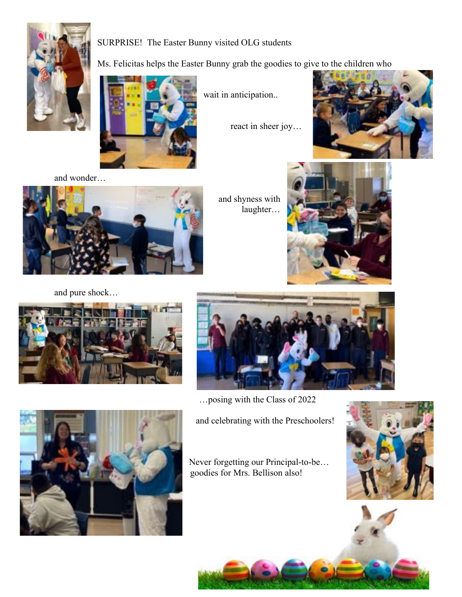

### SURPRISE! The Easter Bunny visited OLG students

Ms. Felicitas helps the Easter Bunny grab the goodies to give to the children who

wait in anticipation..

react in sheer joy…



and wonder…



and shyness with laughter…





### and pure shock…





…posing with the Class of 2022

and celebrating with the Preschoolers!

Never forgetting our Principal-to-be… goodies for Mrs. Bellison also!





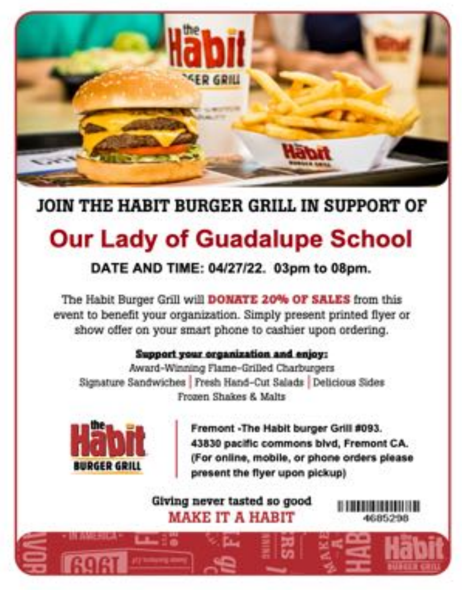

## JOIN THE HABIT BURGER GRILL IN SUPPORT OF

# **Our Lady of Guadalupe School**

### DATE AND TIME: 04/27/22. 03pm to 08pm.

The Habit Burger Grill will DONATE 20% OF SALES from this event to benefit your organization. Simply present printed flyer or show offer on your smart phone to cashier upon ordering.

### Support your organization and enjoy:

Award-Winning Flame-Grilled Charburgers Signature Sandwiches | Fresh Hand-Cut Salads | Delicious Sides Frozen Shakes & Malts



ة: حب

Fremont -The Habit burger Grill #093. 43830 pacific commons blvd, Fremont CA. (For online, mobile, or phone orders please present the flyer upon pickup)

Giving never tasted so good **MAKE IT A HABIT**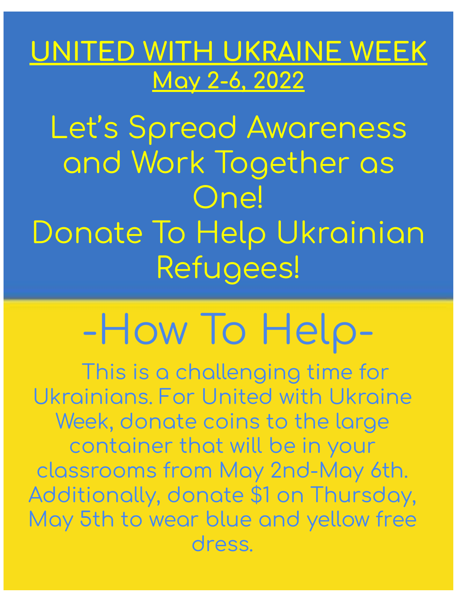# ED WITH UKRAINE WEEK May 2-6, 2022

Let's Spread Awareness and Work Together as **One!** Donate To Help Ukrainian Refugees!

# -How To Help-

This is a challenging time for Ukrainians. For United with Ukraine Week, donate coins to the large container that will be in your classrooms from May 2nd-May 6th. Additionally, donate \$1 on Thursday, May 5th to wear blue and yellow free dress.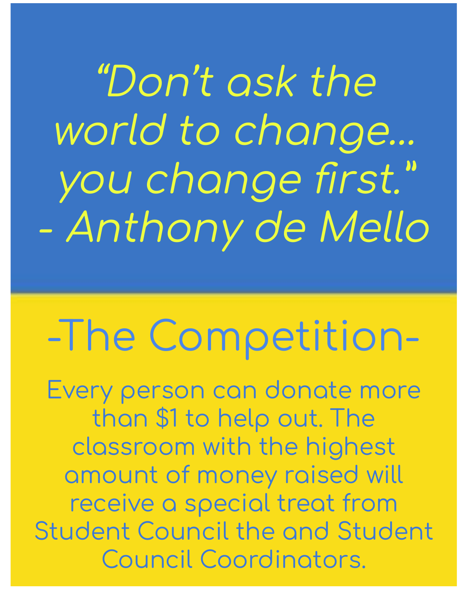"Don't ask the world to change... you change first." - Anthony de Mello

# -The Competition-

Every person can donate more than \$1 to help out. The classroom with the highest amount of money raised will receive a special treat from **Student Council the and Student Council Coordinators.**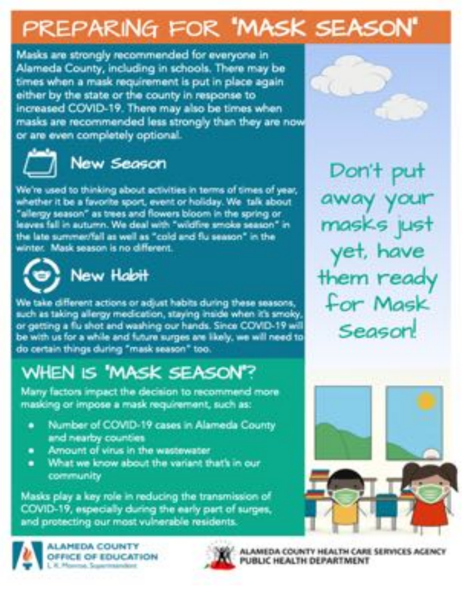# PREPARING FOR 'MASK SEASON'

Masks are strongly recommended for everyone in Alameda County, including in schools. There may be times when a mask requirement is put in place again either by the state or the county in response to increased COVID-19. There may also be times when masks are recommended less strongly than they are now or are even completely optional.



## **New Season**

We're used to thinking about activities in terms of times of year, whether it be a favorite sport, event or holiday. We talk about "allergy season" as trees and flowers bloom in the spring or leaves fall in autumn. We deal with "wildfire smoke season" in the late summer/fall as well as "cold and flu season" in the winter. Mask season is no different.



# New Hobit

We take different actions or adjust habits during these seasons, such as taking allergy medication, staying inside when it's smoky, or getting a flu shot and washing our hands. Since COVID-19 will be with us for a while and future surges are likely, we will need to do certain things during "mask season" too.

# WHEN IS 'MASK SEASON'?

Many factors impact the decision to recommend more masking or impose a mask requirement, such as:

- Number of COVID-19 cases in Alameda County and nearby counties
- Amount of virus in the wastewater. ٠
- What we know about the variant that's in our ۰ community

Masks play a key role in reducing the transmission of COVID-19, especially during the early part of surges, and protecting our most vulnerable residents.



**LAMEDA COUNTY** OFFICE OF EDUCATION



ALAMEDA COUNTY HEALTH CARE SERVICES AGENCY PUBLIC HEALTH DEPARTMENT



Don't put away you masks just yet, have them ready for Mask Season